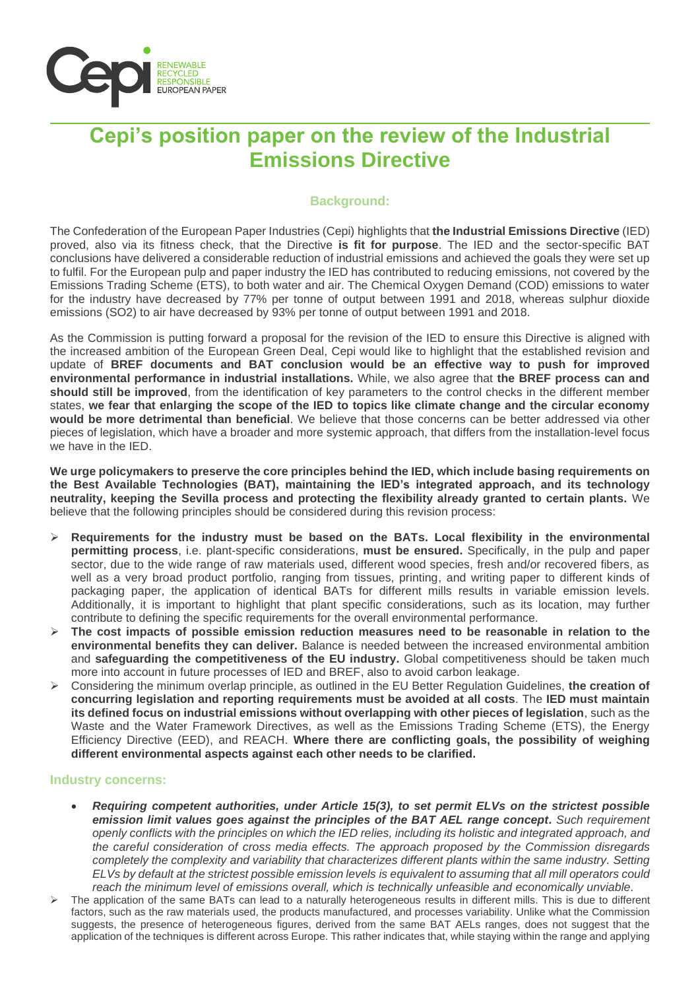

# **Cepi's position paper on the review of the Industrial Emissions Directive**

## **Background:**

The Confederation of the European Paper Industries (Cepi) highlights that **the Industrial Emissions Directive** (IED) proved, also via its fitness check, that the Directive **is fit for purpose**. The IED and the sector-specific BAT conclusions have delivered a considerable reduction of industrial emissions and achieved the goals they were set up to fulfil. For the European pulp and paper industry the IED has contributed to reducing emissions, not covered by the Emissions Trading Scheme (ETS), to both water and air. The Chemical Oxygen Demand (COD) emissions to water for the industry have decreased by 77% per tonne of output between 1991 and 2018, whereas sulphur dioxide emissions (SO2) to air have decreased by 93% per tonne of output between 1991 and 2018.

As the Commission is putting forward a proposal for the revision of the IED to ensure this Directive is aligned with the increased ambition of the European Green Deal, Cepi would like to highlight that the established revision and update of **BREF documents and BAT conclusion would be an effective way to push for improved environmental performance in industrial installations.** While, we also agree that **the BREF process can and should still be improved**, from the identification of key parameters to the control checks in the different member states, **we fear that enlarging the scope of the IED to topics like climate change and the circular economy would be more detrimental than beneficial**. We believe that those concerns can be better addressed via other pieces of legislation, which have a broader and more systemic approach, that differs from the installation-level focus we have in the IED.

**We urge policymakers to preserve the core principles behind the IED, which include basing requirements on the Best Available Technologies (BAT), maintaining the IED's integrated approach, and its technology neutrality, keeping the Sevilla process and protecting the flexibility already granted to certain plants.** We believe that the following principles should be considered during this revision process:

- ➢ **Requirements for the industry must be based on the BATs. Local flexibility in the environmental permitting process**, i.e. plant-specific considerations, **must be ensured.** Specifically, in the pulp and paper sector, due to the wide range of raw materials used, different wood species, fresh and/or recovered fibers, as well as a very broad product portfolio, ranging from tissues, printing, and writing paper to different kinds of packaging paper, the application of identical BATs for different mills results in variable emission levels. Additionally, it is important to highlight that plant specific considerations, such as its location, may further contribute to defining the specific requirements for the overall environmental performance.
- ➢ **The cost impacts of possible emission reduction measures need to be reasonable in relation to the environmental benefits they can deliver.** Balance is needed between the increased environmental ambition and **safeguarding the competitiveness of the EU industry.** Global competitiveness should be taken much more into account in future processes of IED and BREF, also to avoid carbon leakage.
- ➢ Considering the minimum overlap principle, as outlined in the EU Better Regulation Guidelines, **the creation of concurring legislation and reporting requirements must be avoided at all costs**. The **IED must maintain its defined focus on industrial emissions without overlapping with other pieces of legislation**, such as the Waste and the Water Framework Directives, as well as the Emissions Trading Scheme (ETS), the Energy Efficiency Directive (EED), and REACH. **Where there are conflicting goals, the possibility of weighing different environmental aspects against each other needs to be clarified.**

### **Industry concerns:**

- *Requiring competent authorities, under Article 15(3), to set permit ELVs on the strictest possible emission limit values goes against the principles of the BAT AEL range concept. Such requirement openly conflicts with the principles on which the IED relies, including its holistic and integrated approach, and the careful consideration of cross media effects. The approach proposed by the Commission disregards completely the complexity and variability that characterizes different plants within the same industry. Setting ELVs by default at the strictest possible emission levels is equivalent to assuming that all mill operators could reach the minimum level of emissions overall, which is technically unfeasible and economically unviable.*
- The application of the same BATs can lead to a naturally heterogeneous results in different mills. This is due to different factors, such as the raw materials used, the products manufactured, and processes variability. Unlike what the Commission suggests, the presence of heterogeneous figures, derived from the same BAT AELs ranges, does not suggest that the application of the techniques is different across Europe. This rather indicates that, while staying within the range and applying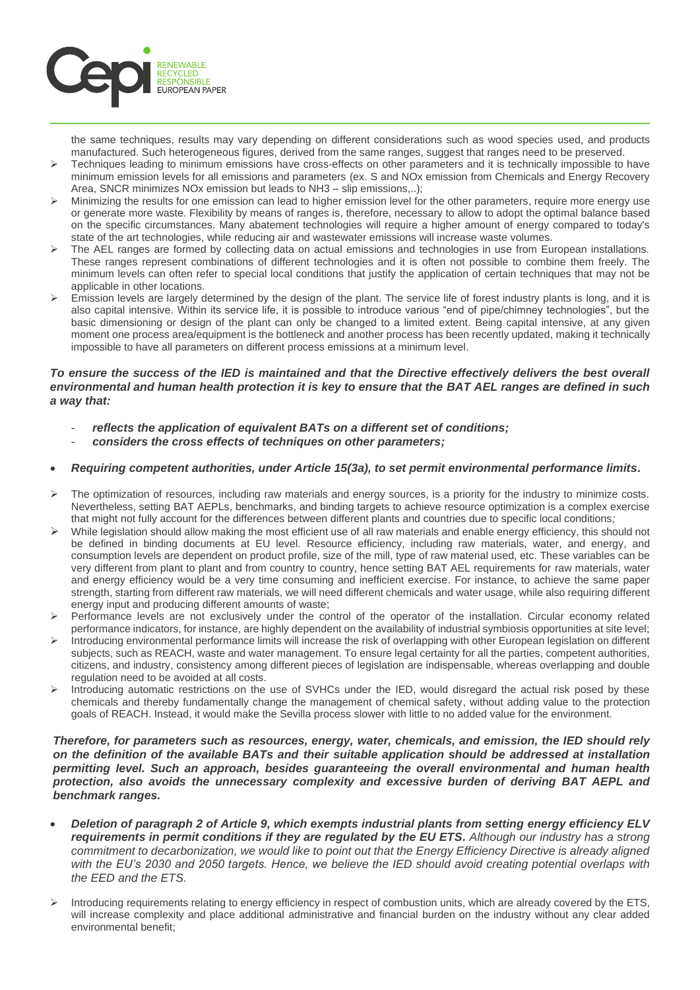

the same techniques, results may vary depending on different considerations such as wood species used, and products manufactured. Such heterogeneous figures, derived from the same ranges, suggest that ranges need to be preserved.

- ➢ Techniques leading to minimum emissions have cross-effects on other parameters and it is technically impossible to have minimum emission levels for all emissions and parameters (ex. S and NOx emission from Chemicals and Energy Recovery Area, SNCR minimizes NOx emission but leads to NH3 – slip emissions...):
- $\triangleright$  Minimizing the results for one emission can lead to higher emission level for the other parameters, require more energy use or generate more waste. Flexibility by means of ranges is, therefore, necessary to allow to adopt the optimal balance based on the specific circumstances. Many abatement technologies will require a higher amount of energy compared to today's state of the art technologies, while reducing air and wastewater emissions will increase waste volumes.
- The AEL ranges are formed by collecting data on actual emissions and technologies in use from European installations. These ranges represent combinations of different technologies and it is often not possible to combine them freely. The minimum levels can often refer to special local conditions that justify the application of certain techniques that may not be applicable in other locations.
- Emission levels are largely determined by the design of the plant. The service life of forest industry plants is long, and it is also capital intensive. Within its service life, it is possible to introduce various "end of pipe/chimney technologies", but the basic dimensioning or design of the plant can only be changed to a limited extent. Being capital intensive, at any given moment one process area/equipment is the bottleneck and another process has been recently updated, making it technically impossible to have all parameters on different process emissions at a minimum level.

#### *To ensure the success of the IED is maintained and that the Directive effectively delivers the best overall environmental and human health protection it is key to ensure that the BAT AEL ranges are defined in such a way that:*

- *reflects the application of equivalent BATs on a different set of conditions;*
- *considers the cross effects of techniques on other parameters;*

#### • *Requiring competent authorities, under Article 15(3a), to set permit environmental performance limits.*

- ➢ The optimization of resources, including raw materials and energy sources, is a priority for the industry to minimize costs. Nevertheless, setting BAT AEPLs, benchmarks, and binding targets to achieve resource optimization is a complex exercise that might not fully account for the differences between different plants and countries due to specific local conditions*;*
- $\triangleright$  While legislation should allow making the most efficient use of all raw materials and enable energy efficiency, this should not be defined in binding documents at EU level. Resource efficiency, including raw materials, water, and energy, and consumption levels are dependent on product profile, size of the mill, type of raw material used, etc. These variables can be very different from plant to plant and from country to country, hence setting BAT AEL requirements for raw materials, water and energy efficiency would be a very time consuming and inefficient exercise. For instance, to achieve the same paper strength, starting from different raw materials, we will need different chemicals and water usage, while also requiring different energy input and producing different amounts of waste;
- ➢ Performance levels are not exclusively under the control of the operator of the installation. Circular economy related performance indicators, for instance, are highly dependent on the availability of industrial symbiosis opportunities at site level;
- ➢ Introducing environmental performance limits will increase the risk of overlapping with other European legislation on different subjects, such as REACH, waste and water management. To ensure legal certainty for all the parties, competent authorities, citizens, and industry, consistency among different pieces of legislation are indispensable, whereas overlapping and double regulation need to be avoided at all costs.
- Introducing automatic restrictions on the use of SVHCs under the IED, would disregard the actual risk posed by these chemicals and thereby fundamentally change the management of chemical safety, without adding value to the protection goals of REACH. Instead, it would make the Sevilla process slower with little to no added value for the environment.

#### *Therefore, for parameters such as resources, energy, water, chemicals, and emission, the IED should rely on the definition of the available BATs and their suitable application should be addressed at installation permitting level. Such an approach, besides guaranteeing the overall environmental and human health protection, also avoids the unnecessary complexity and excessive burden of deriving BAT AEPL and benchmark ranges.*

- *Deletion of paragraph 2 of Article 9, which exempts industrial plants from setting energy efficiency ELV requirements in permit conditions if they are regulated by the EU ETS. Although our industry has a strong commitment to decarbonization, we would like to point out that the Energy Efficiency Directive is already aligned with the EU's 2030 and 2050 targets. Hence, we believe the IED should avoid creating potential overlaps with the EED and the ETS.*
- ➢ Introducing requirements relating to energy efficiency in respect of combustion units, which are already covered by the ETS, will increase complexity and place additional administrative and financial burden on the industry without any clear added environmental benefit;